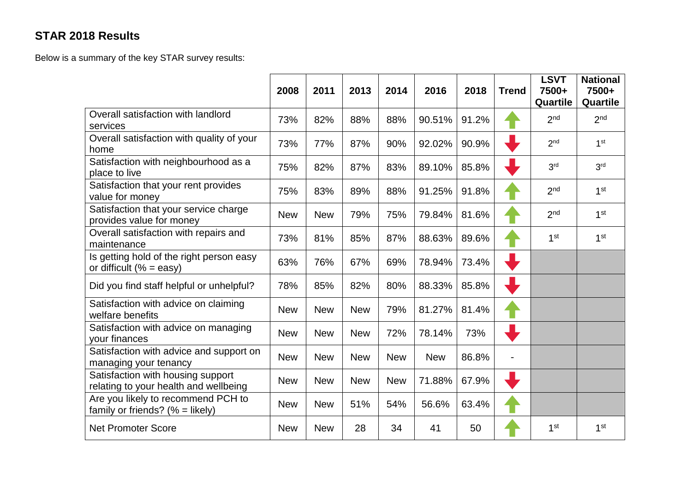## **STAR 2018 Results**

Below is a summary of the key STAR survey results:

|                                                                            | 2008       | 2011       | 2013       | 2014       | 2016       | 2018  | <b>Trend</b> | <b>LSVT</b><br>7500+<br>Quartile | <b>National</b><br>7500+<br>Quartile |
|----------------------------------------------------------------------------|------------|------------|------------|------------|------------|-------|--------------|----------------------------------|--------------------------------------|
| Overall satisfaction with landlord<br>services                             | 73%        | 82%        | 88%        | 88%        | 90.51%     | 91.2% |              | 2 <sub>nd</sub>                  | 2 <sub>nd</sub>                      |
| Overall satisfaction with quality of your<br>home                          | 73%        | 77%        | 87%        | 90%        | 92.02%     | 90.9% |              | 2 <sub>nd</sub>                  | 1 <sup>st</sup>                      |
| Satisfaction with neighbourhood as a<br>place to live                      | 75%        | 82%        | 87%        | 83%        | 89.10%     | 85.8% |              | 3 <sup>rd</sup>                  | 3 <sup>rd</sup>                      |
| Satisfaction that your rent provides<br>value for money                    | 75%        | 83%        | 89%        | 88%        | 91.25%     | 91.8% |              | 2 <sub>nd</sub>                  | 1 <sup>st</sup>                      |
| Satisfaction that your service charge<br>provides value for money          | <b>New</b> | <b>New</b> | 79%        | 75%        | 79.84%     | 81.6% |              | 2 <sub>nd</sub>                  | 1 <sup>st</sup>                      |
| Overall satisfaction with repairs and<br>maintenance                       | 73%        | 81%        | 85%        | 87%        | 88.63%     | 89.6% |              | 1 <sup>st</sup>                  | 1 <sup>st</sup>                      |
| Is getting hold of the right person easy<br>or difficult (% = easy)        | 63%        | 76%        | 67%        | 69%        | 78.94%     | 73.4% |              |                                  |                                      |
| Did you find staff helpful or unhelpful?                                   | 78%        | 85%        | 82%        | 80%        | 88.33%     | 85.8% |              |                                  |                                      |
| Satisfaction with advice on claiming<br>welfare benefits                   | <b>New</b> | <b>New</b> | <b>New</b> | 79%        | 81.27%     | 81.4% |              |                                  |                                      |
| Satisfaction with advice on managing<br>your finances                      | <b>New</b> | <b>New</b> | <b>New</b> | 72%        | 78.14%     | 73%   |              |                                  |                                      |
| Satisfaction with advice and support on<br>managing your tenancy           | <b>New</b> | <b>New</b> | <b>New</b> | <b>New</b> | <b>New</b> | 86.8% |              |                                  |                                      |
| Satisfaction with housing support<br>relating to your health and wellbeing | <b>New</b> | <b>New</b> | <b>New</b> | <b>New</b> | 71.88%     | 67.9% |              |                                  |                                      |
| Are you likely to recommend PCH to<br>family or friends? (% = likely)      | <b>New</b> | <b>New</b> | 51%        | 54%        | 56.6%      | 63.4% |              |                                  |                                      |
| <b>Net Promoter Score</b>                                                  | <b>New</b> | <b>New</b> | 28         | 34         | 41         | 50    |              | 1 <sup>st</sup>                  | 1 <sup>st</sup>                      |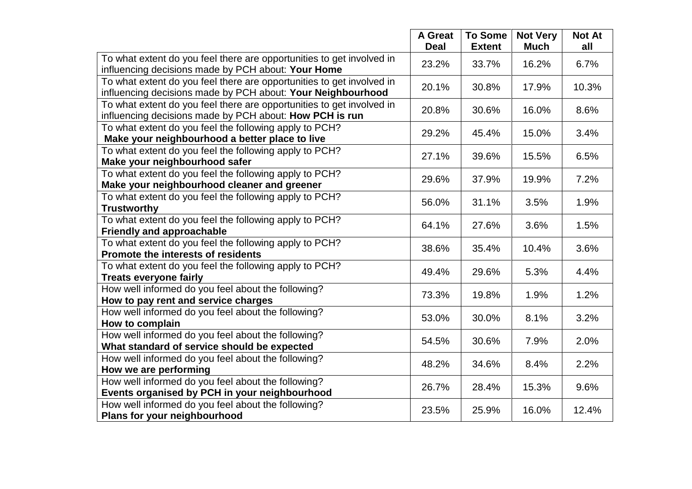|                                                                                                                                      | <b>A</b> Great<br><b>Deal</b> | <b>To Some</b><br><b>Extent</b> | <b>Not Very</b><br><b>Much</b> | <b>Not At</b><br>all |
|--------------------------------------------------------------------------------------------------------------------------------------|-------------------------------|---------------------------------|--------------------------------|----------------------|
| To what extent do you feel there are opportunities to get involved in<br>influencing decisions made by PCH about: Your Home          | 23.2%                         | 33.7%                           | 16.2%                          | 6.7%                 |
| To what extent do you feel there are opportunities to get involved in<br>influencing decisions made by PCH about: Your Neighbourhood | 20.1%                         | 30.8%                           | 17.9%                          | 10.3%                |
| To what extent do you feel there are opportunities to get involved in<br>influencing decisions made by PCH about: How PCH is run     | 20.8%                         | 30.6%                           | 16.0%                          | 8.6%                 |
| To what extent do you feel the following apply to PCH?<br>Make your neighbourhood a better place to live                             | 29.2%                         | 45.4%                           | 15.0%                          | 3.4%                 |
| To what extent do you feel the following apply to PCH?<br>Make your neighbourhood safer                                              | 27.1%                         | 39.6%                           | 15.5%                          | 6.5%                 |
| To what extent do you feel the following apply to PCH?<br>Make your neighbourhood cleaner and greener                                | 29.6%                         | 37.9%                           | 19.9%                          | 7.2%                 |
| To what extent do you feel the following apply to PCH?<br><b>Trustworthy</b>                                                         | 56.0%                         | 31.1%                           | 3.5%                           | 1.9%                 |
| To what extent do you feel the following apply to PCH?<br><b>Friendly and approachable</b>                                           | 64.1%                         | 27.6%                           | 3.6%                           | 1.5%                 |
| To what extent do you feel the following apply to PCH?<br>Promote the interests of residents                                         | 38.6%                         | 35.4%                           | 10.4%                          | 3.6%                 |
| To what extent do you feel the following apply to PCH?<br><b>Treats everyone fairly</b>                                              | 49.4%                         | 29.6%                           | 5.3%                           | 4.4%                 |
| How well informed do you feel about the following?<br>How to pay rent and service charges                                            | 73.3%                         | 19.8%                           | 1.9%                           | 1.2%                 |
| How well informed do you feel about the following?<br>How to complain                                                                | 53.0%                         | 30.0%                           | 8.1%                           | 3.2%                 |
| How well informed do you feel about the following?<br>What standard of service should be expected                                    | 54.5%                         | 30.6%                           | 7.9%                           | 2.0%                 |
| How well informed do you feel about the following?<br>How we are performing                                                          | 48.2%                         | 34.6%                           | 8.4%                           | 2.2%                 |
| How well informed do you feel about the following?<br>Events organised by PCH in your neighbourhood                                  | 26.7%                         | 28.4%                           | 15.3%                          | 9.6%                 |
| How well informed do you feel about the following?<br>Plans for your neighbourhood                                                   | 23.5%                         | 25.9%                           | 16.0%                          | 12.4%                |